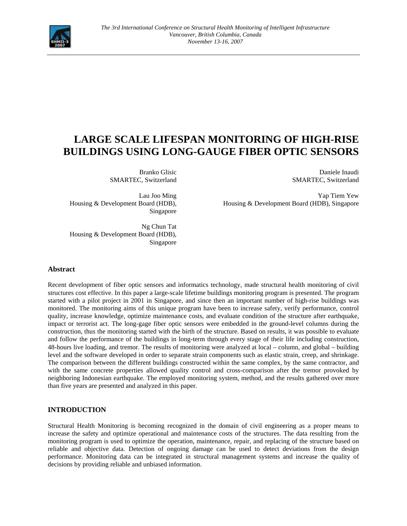

# **LARGE SCALE LIFESPAN MONITORING OF HIGH-RISE BUILDINGS USING LONG-GAUGE FIBER OPTIC SENSORS**

Branko Glisic SMARTEC, Switzerland

Lau Joo Ming Housing & Development Board (HDB), Singapore

Daniele Inaudi SMARTEC, Switzerland

Yap Tiem Yew Housing & Development Board (HDB), Singapore

Ng Chun Tat Housing & Development Board (HDB), Singapore

# **Abstract**

Recent development of fiber optic sensors and informatics technology, made structural health monitoring of civil structures cost effective. In this paper a large-scale lifetime buildings monitoring program is presented. The program started with a pilot project in 2001 in Singapore, and since then an important number of high-rise buildings was monitored. The monitoring aims of this unique program have been to increase safety, verify performance, control quality, increase knowledge, optimize maintenance costs, and evaluate condition of the structure after earthquake, impact or terrorist act. The long-gage fiber optic sensors were embedded in the ground-level columns during the construction, thus the monitoring started with the birth of the structure. Based on results, it was possible to evaluate and follow the performance of the buildings in long-term through every stage of their life including construction, 48-hours live loading, and tremor. The results of monitoring were analyzed at local – column, and global – building level and the software developed in order to separate strain components such as elastic strain, creep, and shrinkage. The comparison between the different buildings constructed within the same complex, by the same contractor, and with the same concrete properties allowed quality control and cross-comparison after the tremor provoked by neighboring Indonesian earthquake. The employed monitoring system, method, and the results gathered over more than five years are presented and analyzed in this paper.

# **INTRODUCTION**

Structural Health Monitoring is becoming recognized in the domain of civil engineering as a proper means to increase the safety and optimize operational and maintenance costs of the structures. The data resulting from the monitoring program is used to optimize the operation, maintenance, repair, and replacing of the structure based on reliable and objective data. Detection of ongoing damage can be used to detect deviations from the design performance. Monitoring data can be integrated in structural management systems and increase the quality of decisions by providing reliable and unbiased information.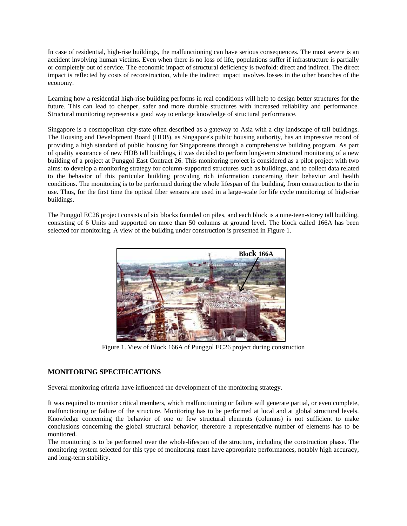In case of residential, high-rise buildings, the malfunctioning can have serious consequences. The most severe is an accident involving human victims. Even when there is no loss of life, populations suffer if infrastructure is partially or completely out of service. The economic impact of structural deficiency is twofold: direct and indirect. The direct impact is reflected by costs of reconstruction, while the indirect impact involves losses in the other branches of the economy.

Learning how a residential high-rise building performs in real conditions will help to design better structures for the future. This can lead to cheaper, safer and more durable structures with increased reliability and performance. Structural monitoring represents a good way to enlarge knowledge of structural performance.

Singapore is a cosmopolitan city-state often described as a gateway to Asia with a city landscape of tall buildings. The Housing and Development Board (HDB), as Singapore's public housing authority, has an impressive record of providing a high standard of public housing for Singaporeans through a comprehensive building program. As part of quality assurance of new HDB tall buildings, it was decided to perform long-term structural monitoring of a new building of a project at Punggol East Contract 26. This monitoring project is considered as a pilot project with two aims: to develop a monitoring strategy for column-supported structures such as buildings, and to collect data related to the behavior of this particular building providing rich information concerning their behavior and health conditions. The monitoring is to be performed during the whole lifespan of the building, from construction to the in use. Thus, for the first time the optical fiber sensors are used in a large-scale for life cycle monitoring of high-rise buildings.

The Punggol EC26 project consists of six blocks founded on piles, and each block is a nine-teen-storey tall building, consisting of 6 Units and supported on more than 50 columns at ground level. The block called 166A has been selected for monitoring. A view of the building under construction is presented in Figure 1.



Figure 1. View of Block 166A of Punggol EC26 project during construction

## **MONITORING SPECIFICATIONS**

Several monitoring criteria have influenced the development of the monitoring strategy.

It was required to monitor critical members, which malfunctioning or failure will generate partial, or even complete, malfunctioning or failure of the structure. Monitoring has to be performed at local and at global structural levels. Knowledge concerning the behavior of one or few structural elements (columns) is not sufficient to make conclusions concerning the global structural behavior; therefore a representative number of elements has to be monitored.

The monitoring is to be performed over the whole-lifespan of the structure, including the construction phase. The monitoring system selected for this type of monitoring must have appropriate performances, notably high accuracy, and long-term stability.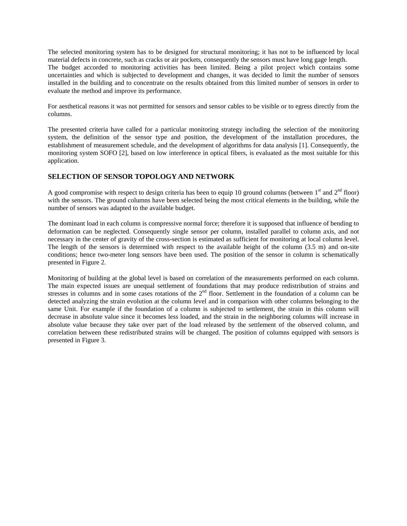The selected monitoring system has to be designed for structural monitoring; it has not to be influenced by local material defects in concrete, such as cracks or air pockets, consequently the sensors must have long gage length. The budget accorded to monitoring activities has been limited. Being a pilot project which contains some uncertainties and which is subjected to development and changes, it was decided to limit the number of sensors installed in the building and to concentrate on the results obtained from this limited number of sensors in order to evaluate the method and improve its performance.

For aesthetical reasons it was not permitted for sensors and sensor cables to be visible or to egress directly from the columns.

The presented criteria have called for a particular monitoring strategy including the selection of the monitoring system, the definition of the sensor type and position, the development of the installation procedures, the establishment of measurement schedule, and the development of algorithms for data analysis [1]. Consequently, the monitoring system SOFO [2], based on low interference in optical fibers, is evaluated as the most suitable for this application.

# **SELECTION OF SENSOR TOPOLOGY AND NETWORK**

A good compromise with respect to design criteria has been to equip 10 ground columns (between  $1<sup>st</sup>$  and  $2<sup>nd</sup>$  floor) with the sensors. The ground columns have been selected being the most critical elements in the building, while the number of sensors was adapted to the available budget.

The dominant load in each column is compressive normal force; therefore it is supposed that influence of bending to deformation can be neglected. Consequently single sensor per column, installed parallel to column axis, and not necessary in the center of gravity of the cross-section is estimated as sufficient for monitoring at local column level. The length of the sensors is determined with respect to the available height of the column (3.5 m) and on-site conditions; hence two-meter long sensors have been used. The position of the sensor in column is schematically presented in Figure 2.

Monitoring of building at the global level is based on correlation of the measurements performed on each column. The main expected issues are unequal settlement of foundations that may produce redistribution of strains and stresses in columns and in some cases rotations of the 2<sup>nd</sup> floor. Settlement in the foundation of a column can be detected analyzing the strain evolution at the column level and in comparison with other columns belonging to the same Unit. For example if the foundation of a column is subjected to settlement, the strain in this column will decrease in absolute value since it becomes less loaded, and the strain in the neighboring columns will increase in absolute value because they take over part of the load released by the settlement of the observed column, and correlation between these redistributed strains will be changed. The position of columns equipped with sensors is presented in Figure 3.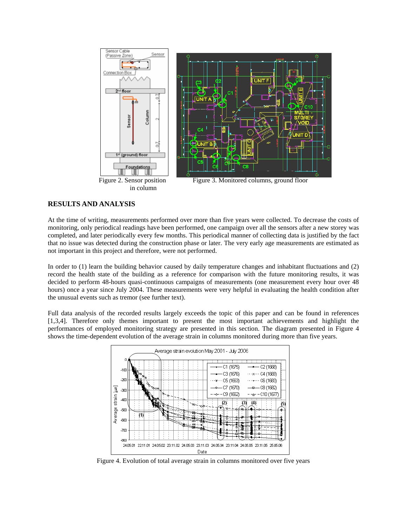

## **RESULTS AND ANALYSIS**

At the time of writing, measurements performed over more than five years were collected. To decrease the costs of monitoring, only periodical readings have been performed, one campaign over all the sensors after a new storey was completed, and later periodically every few months. This periodical manner of collecting data is justified by the fact that no issue was detected during the construction phase or later. The very early age measurements are estimated as not important in this project and therefore, were not performed.

In order to (1) learn the building behavior caused by daily temperature changes and inhabitant fluctuations and (2) record the health state of the building as a reference for comparison with the future monitoring results, it was decided to perform 48-hours quasi-continuous campaigns of measurements (one measurement every hour over 48 hours) once a year since July 2004. These measurements were very helpful in evaluating the health condition after the unusual events such as tremor (see further text).

Full data analysis of the recorded results largely exceeds the topic of this paper and can be found in references [1,3,4]. Therefore only themes important to present the most important achievements and highlight the performances of employed monitoring strategy are presented in this section. The diagram presented in Figure 4 shows the time-dependent evolution of the average strain in columns monitored during more than five years.



Figure 4. Evolution of total average strain in columns monitored over five years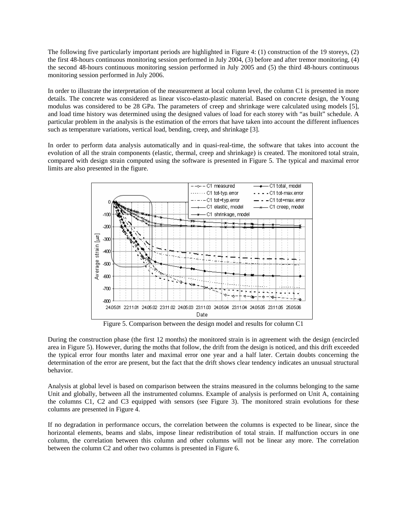The following five particularly important periods are highlighted in Figure 4: (1) construction of the 19 storeys, (2) the first 48-hours continuous monitoring session performed in July 2004, (3) before and after tremor monitoring, (4) the second 48-hours continuous monitoring session performed in July 2005 and (5) the third 48-hours continuous monitoring session performed in July 2006.

In order to illustrate the interpretation of the measurement at local column level, the column C1 is presented in more details. The concrete was considered as linear visco-elasto-plastic material. Based on concrete design, the Young modulus was considered to be 28 GPa. The parameters of creep and shrinkage were calculated using models [5], and load time history was determined using the designed values of load for each storey with "as built" schedule. A particular problem in the analysis is the estimation of the errors that have taken into account the different influences such as temperature variations, vertical load, bending, creep, and shrinkage [3].

In order to perform data analysis automatically and in quasi-real-time, the software that takes into account the evolution of all the strain components (elastic, thermal, creep and shrinkage) is created. The monitored total strain, compared with design strain computed using the software is presented in Figure 5. The typical and maximal error limits are also presented in the figure.



Figure 5. Comparison between the design model and results for column C1

During the construction phase (the first 12 months) the monitored strain is in agreement with the design (encircled area in Figure 5). However, during the moths that follow, the drift from the design is noticed, and this drift exceeded the typical error four months later and maximal error one year and a half later. Certain doubts concerning the determination of the error are present, but the fact that the drift shows clear tendency indicates an unusual structural behavior.

Analysis at global level is based on comparison between the strains measured in the columns belonging to the same Unit and globally, between all the instrumented columns. Example of analysis is performed on Unit A, containing the columns C1, C2 and C3 equipped with sensors (see Figure 3). The monitored strain evolutions for these columns are presented in Figure 4.

If no degradation in performance occurs, the correlation between the columns is expected to be linear, since the horizontal elements, beams and slabs, impose linear redistribution of total strain. If malfunction occurs in one column, the correlation between this column and other columns will not be linear any more. The correlation between the column C2 and other two columns is presented in Figure 6.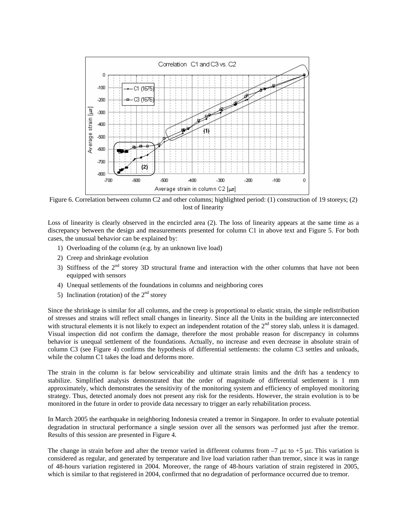

Figure 6. Correlation between column C2 and other columns; highlighted period: (1) construction of 19 storeys; (2) lost of linearity

Loss of linearity is clearly observed in the encircled area (2). The loss of linearity appears at the same time as a discrepancy between the design and measurements presented for column C1 in above text and Figure 5. For both cases, the unusual behavior can be explained by:

- 1) Overloading of the column (e.g. by an unknown live load)
- 2) Creep and shrinkage evolution
- 3) Stiffness of the  $2<sup>nd</sup>$  storey 3D structural frame and interaction with the other columns that have not been equipped with sensors
- 4) Unequal settlements of the foundations in columns and neighboring cores
- 5) Inclination (rotation) of the  $2<sup>nd</sup>$  storey

Since the shrinkage is similar for all columns, and the creep is proportional to elastic strain, the simple redistribution of stresses and strains will reflect small changes in linearity. Since all the Units in the building are interconnected with structural elements it is not likely to expect an independent rotation of the  $2<sup>nd</sup>$  storey slab, unless it is damaged. Visual inspection did not confirm the damage, therefore the most probable reason for discrepancy in columns behavior is unequal settlement of the foundations. Actually, no increase and even decrease in absolute strain of column C3 (see Figure 4) confirms the hypothesis of differential settlements: the column C3 settles and unloads, while the column C1 takes the load and deforms more.

The strain in the column is far below serviceability and ultimate strain limits and the drift has a tendency to stabilize. Simplified analysis demonstrated that the order of magnitude of differential settlement is 1 mm approximately, which demonstrates the sensitivity of the monitoring system and efficiency of employed monitoring strategy. Thus, detected anomaly does not present any risk for the residents. However, the strain evolution is to be monitored in the future in order to provide data necessary to trigger an early rehabilitation process.

In March 2005 the earthquake in neighboring Indonesia created a tremor in Singapore. In order to evaluate potential degradation in structural performance a single session over all the sensors was performed just after the tremor. Results of this session are presented in Figure 4.

The change in strain before and after the tremor varied in different columns from  $-7$   $\mu\epsilon$  to  $+5$   $\mu\epsilon$ . This variation is considered as regular, and generated by temperature and live load variation rather than tremor, since it was in range of 48-hours variation registered in 2004. Moreover, the range of 48-hours variation of strain registered in 2005, which is similar to that registered in 2004, confirmed that no degradation of performance occurred due to tremor.